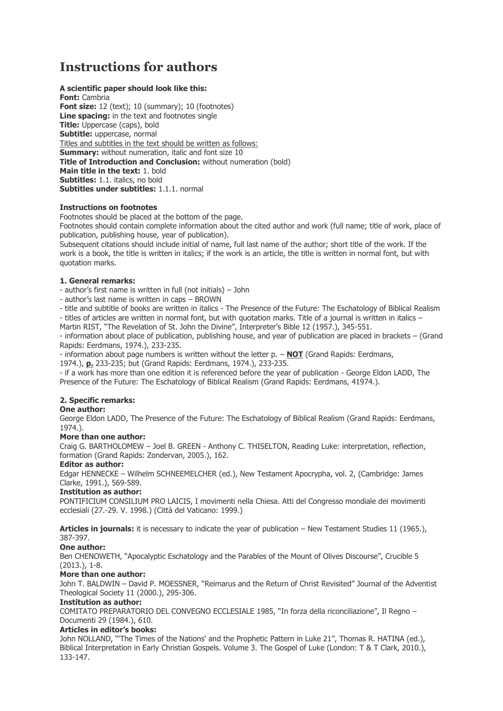# **Instructions for authors**

**A scientific paper should look like this: Font:** Cambria **Font size:** 12 (text); 10 (summary); 10 (footnotes) **Line spacing:** in the text and footnotes single **Title:** Uppercase (caps), bold **Subtitle:** uppercase, normal Titles and subtitles in the text should be written as follows: **Summary:** without numeration, italic and font size 10 **Title of Introduction and Conclusion:** without numeration (bold) **Main title in the text:** 1. bold **Subtitles:** 1.1. italics, no bold **Subtitles under subtitles:** 1.1.1. normal

# **Instructions on footnotes**

Footnotes should be placed at the bottom of the page.

Footnotes should contain complete information about the cited author and work (full name; title of work, place of publication, publishing house, year of publication).

Subsequent citations should include initial of name, full last name of the author; short title of the work. If the work is a book, the title is written in italics; if the work is an article, the title is written in normal font, but with quotation marks.

### **1. General remarks:**

- author's first name is written in full (not initials) – John

- author's last name is written in caps – BROWN

- title and subtitle of books are written in italics - The Presence of the Future: The Eschatology of Biblical Realism - titles of articles are written in normal font, but with quotation marks. Title of a journal is written in italics –

Martin RIST, "The Revelation of St. John the Divine", Interpreter's Bible 12 (1957.), 345-551.

- information about place of publication, publishing house, and year of publication are placed in brackets – (Grand Rapids: Eerdmans, 1974.), 233-235.

- information about page numbers is written without the letter p. – **NOT** (Grand Rapids: Eerdmans, 1974.), **p.** 233-235; but (Grand Rapids: Eerdmans, 1974.), 233-235.

- if a work has more than one edition it is referenced before the year of publication - George Eldon LADD, The Presence of the Future: The Eschatology of Biblical Realism (Grand Rapids: Eerdmans, 41974.).

### **2. Specific remarks:**

### **One author:**

George Eldon LADD, The Presence of the Future: The Eschatology of Biblical Realism (Grand Rapids: Eerdmans, 1974.).

### **More than one author:**

Craig G. BARTHOLOMEW – Joel B. GREEN - Anthony C. THISELTON, Reading Luke: interpretation, reflection, formation (Grand Rapids: Zondervan, 2005.), 162.

#### **Editor as author:**

Edgar HENNECKE – Wilhelm SCHNEEMELCHER (ed.), New Testament Apocrypha, vol. 2, (Cambridge: James Clarke, 1991.), 569-589.

### **Institution as author:**

PONTIFICIUM CONSILIUM PRO LAICIS, I movimenti nella Chiesa. Atti del Congresso mondiale dei movimenti ecclesiali (27.-29. V. 1998.) (Città del Vaticano: 1999.)

**Articles in journals:** it is necessary to indicate the year of publication – New Testament Studies 11 (1965.), 387-397.

### **One author:**

Ben CHENOWETH, "Apocalyptic Eschatology and the Parables of the Mount of Olives Discourse", Crucible 5 (2013.), 1-8.

# **More than one author:**

John T. BALDWIN – David P. MOESSNER, "Reimarus and the Return of Christ Revisited" Journal of the Adventist Theological Society 11 (2000.), 295-306.

### **Institution as author:**

COMITATO PREPARATORIO DEL CONVEGNO ECCLESIALE 1985, "In forza della riconciliazione", Il Regno – Documenti 29 (1984.), 610.

### **Articles in editor's books:**

John NOLLAND, "The Times of the Nations' and the Prophetic Pattern in Luke 21", Thomas R. HATINA (ed.), Biblical Interpretation in Early Christian Gospels. Volume 3. The Gospel of Luke (London: T & T Clark, 2010.), 133-147.